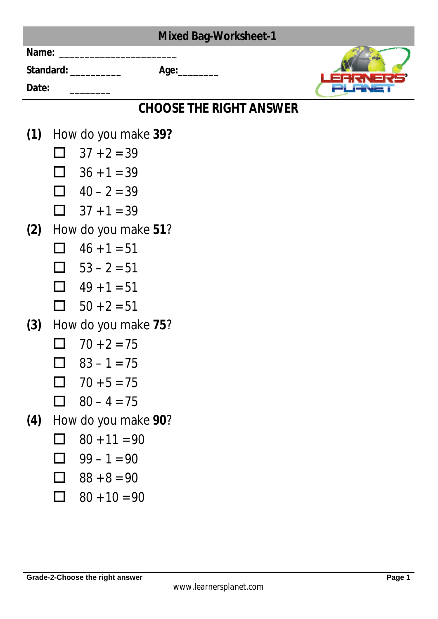|       |                | <b>Mixed Bag-Worksheet-1</b>          |  |
|-------|----------------|---------------------------------------|--|
| Name: |                |                                       |  |
|       |                | Standard: __________<br>Age:_________ |  |
| Date: |                |                                       |  |
|       |                | <b>CHOOSE THE RIGHT ANSWER</b>        |  |
| (1)   |                | How do you make 39?                   |  |
|       | $\blacksquare$ | $37 + 2 = 39$                         |  |
|       |                | $\Box$ 36 + 1 = 39                    |  |
|       |                | $\Box$ 40 – 2 = 39                    |  |
|       |                | $\Box$ 37 + 1 = 39                    |  |
| (2)   |                | How do you make 51?                   |  |
|       | - 1            | $46 + 1 = 51$                         |  |
|       |                | $\Box$ 53 – 2 = 51                    |  |
|       |                | $\Box$ 49 + 1 = 51                    |  |
|       | $\blacksquare$ | $50 + 2 = 51$                         |  |
| (3)   |                | How do you make 75?                   |  |
|       |                | $70 + 2 = 75$                         |  |
|       |                | $83 - 1 = 75$                         |  |
|       | $\mathbf{1}$   | $70 + 5 = 75$                         |  |
|       | ப              | $80 - 4 = 75$                         |  |
| (4)   |                | How do you make 90?                   |  |
|       |                | $80 + 11 = 90$                        |  |
|       | $\Box$         | $99 - 1 = 90$                         |  |
|       | П              | $88 + 8 = 90$                         |  |
|       |                | $80 + 10 = 90$                        |  |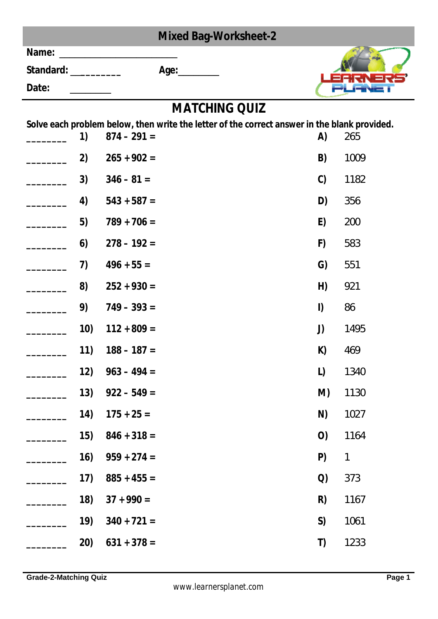| <b>Mixed Bag-Worksheet-2</b> |     |                                                                                                               |                    |              |  |  |  |  |
|------------------------------|-----|---------------------------------------------------------------------------------------------------------------|--------------------|--------------|--|--|--|--|
| Name:                        |     |                                                                                                               |                    |              |  |  |  |  |
| Standard: __________         |     |                                                                                                               |                    |              |  |  |  |  |
| Date:                        |     |                                                                                                               |                    |              |  |  |  |  |
| <b>MATCHING QUIZ</b>         |     |                                                                                                               |                    |              |  |  |  |  |
|                              | 1)  | Solve each problem below, then write the letter of the correct answer in the blank provided.<br>$874 - 291 =$ | A)                 | 265          |  |  |  |  |
|                              | 2)  | $265 + 902 =$                                                                                                 | B)                 | 1009         |  |  |  |  |
|                              | 3)  | $346 - 81 =$                                                                                                  | C                  | 1182         |  |  |  |  |
|                              | 4)  | $543 + 587 =$                                                                                                 | D)                 | 356          |  |  |  |  |
|                              | 5)  | $789 + 706 =$                                                                                                 | E)                 | 200          |  |  |  |  |
|                              | 6)  | $278 - 192 =$                                                                                                 | F)                 | 583          |  |  |  |  |
|                              | 7)  | $496 + 55 =$                                                                                                  | G)                 | 551          |  |  |  |  |
|                              | 8)  | $252 + 930 =$                                                                                                 | H)                 | 921          |  |  |  |  |
|                              | 9)  | $749 - 393 =$                                                                                                 | $\mathsf{I}$       | 86           |  |  |  |  |
|                              | 10) | $112 + 809 =$                                                                                                 | J)                 | 1495         |  |  |  |  |
|                              | 11) | $188 - 187 =$                                                                                                 | K)                 | 469          |  |  |  |  |
|                              | 12) | $963 - 494 =$                                                                                                 | L)                 | 1340         |  |  |  |  |
|                              | 13) | $922 - 549 =$                                                                                                 | M)                 | 1130         |  |  |  |  |
|                              | 14) | $175 + 25 =$                                                                                                  | N)                 | 1027         |  |  |  |  |
|                              | 15) | $846 + 318 =$                                                                                                 | $\left( 0 \right)$ | 1164         |  |  |  |  |
|                              | 16) | $959 + 274 =$                                                                                                 | P)                 | $\mathbf{1}$ |  |  |  |  |
|                              | 17) | $885 + 455 =$                                                                                                 | $\overline{O}$     | 373          |  |  |  |  |
|                              | 18) | $37 + 990 =$                                                                                                  | R)                 | 1167         |  |  |  |  |
|                              | 19) | $340 + 721 =$                                                                                                 | S)                 | 1061         |  |  |  |  |
|                              | 20) | $631 + 378 =$                                                                                                 | T)                 | 1233         |  |  |  |  |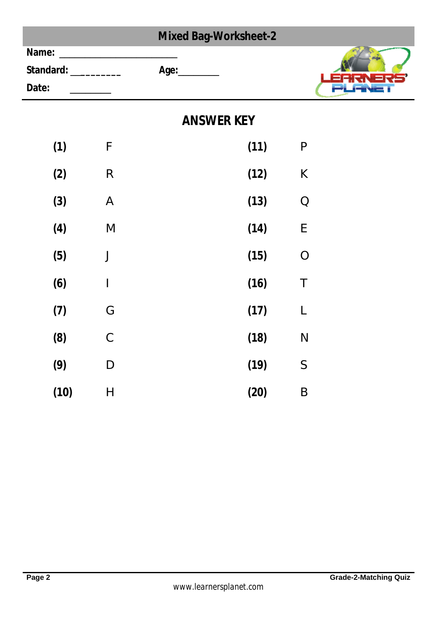| <b>Mixed Bag-Worksheet-2</b>         |                                                                                                            |                   |                       |  |  |  |  |  |
|--------------------------------------|------------------------------------------------------------------------------------------------------------|-------------------|-----------------------|--|--|--|--|--|
| Name:<br>Standard: ________<br>Date: |                                                                                                            | Age:__________    |                       |  |  |  |  |  |
|                                      |                                                                                                            | <b>ANSWER KEY</b> |                       |  |  |  |  |  |
| (1)                                  | F                                                                                                          |                   | (11)<br>$\mathsf{P}$  |  |  |  |  |  |
| (2)                                  | ${\sf R}$                                                                                                  |                   | $\sf K$<br>(12)       |  |  |  |  |  |
| (3)                                  | $\mathsf A$                                                                                                |                   | (13)<br>${\mathsf Q}$ |  |  |  |  |  |
| (4)                                  | $\mathsf{M}% _{T}=\mathsf{M}_{T}\!\left( a,b\right) ,\ \mathsf{M}_{T}=\mathsf{M}_{T}\!\left( a,b\right) ,$ |                   | $\mathsf E$<br>(14)   |  |  |  |  |  |
| (5)                                  | $\int$                                                                                                     |                   | (15)<br>$\mathcal O$  |  |  |  |  |  |
| (6)                                  | I                                                                                                          |                   | (16)<br>$\top$        |  |  |  |  |  |
| (7)                                  | G                                                                                                          |                   | (17)<br>L             |  |  |  |  |  |
| (8)                                  | $\mathcal{C}$                                                                                              |                   | (18)<br>${\sf N}$     |  |  |  |  |  |
| (9)                                  | ${\sf D}$                                                                                                  |                   | $\mathsf S$<br>(19)   |  |  |  |  |  |
| (10)                                 | $\boldsymbol{\mathsf{H}}$                                                                                  |                   | (20)<br>$\sf B$       |  |  |  |  |  |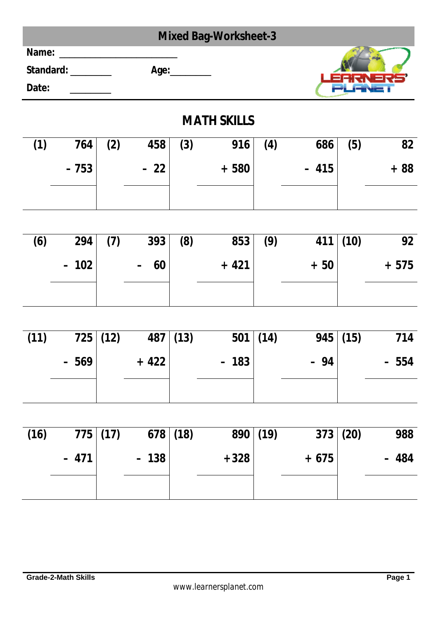|       | <b>Mixed Bag-Worksheet-3</b> |     |       |     |         |     |        |     |       |  |
|-------|------------------------------|-----|-------|-----|---------|-----|--------|-----|-------|--|
| Name: |                              |     |       |     |         |     |        |     |       |  |
|       | Standard:                    |     | Age:  |     |         |     |        |     | -     |  |
| Date: |                              |     |       |     |         |     |        |     |       |  |
|       | <b>MATH SKILLS</b>           |     |       |     |         |     |        |     |       |  |
| (1)   | 764                          | (2) | 458   | (3) | 916     | (4) | 686    | (5) | 82    |  |
|       | $-753$                       |     | $-22$ |     | $+ 580$ |     | $-415$ |     | $+88$ |  |
|       |                              |     |       |     |         |     |        |     |       |  |

| (6) | 294    | (7) | 393   (8) | 853     | (9) |       | 411(10) | 92      |
|-----|--------|-----|-----------|---------|-----|-------|---------|---------|
|     | $-102$ |     | $-60$     | $+ 421$ |     | $+50$ |         | $+ 575$ |
|     |        |     |           |         |     |       |         |         |

| (11) |        | 725   (12) |         | 487(13) |        | 501   (14) | $945 \mid (15)$ | 714    |
|------|--------|------------|---------|---------|--------|------------|-----------------|--------|
|      | $-569$ |            | $+ 422$ |         | $-183$ |            | $-94$           | $-554$ |
|      |        |            |         |         |        |            |                 |        |

| (16) |        | 775   (17) |        | $678 \mid (18)$ |        | 890(19) | 373   (20) | 988    |
|------|--------|------------|--------|-----------------|--------|---------|------------|--------|
|      | $-471$ |            | $-138$ |                 | $+328$ |         | $+ 675$    | $-484$ |
|      |        |            |        |                 |        |         |            |        |